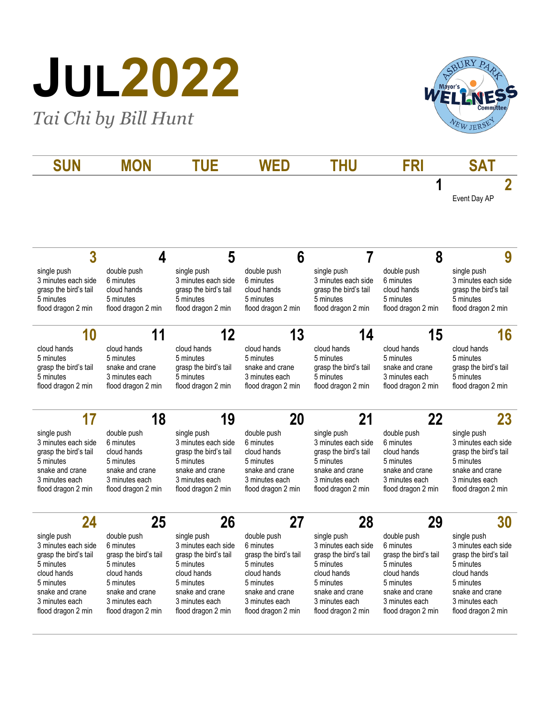## **JUL2022**

*Tai Chi by Bill Hunt*



| SUN                                                                                                                                                             | <b>MON</b>                                                                                                                                            | <b>TUE</b>                                                                                                                                                      | <b>WED</b>                                                                                                                                            | <b>THU</b>                                                                                                                                                      | <b>FRI</b>                                                                                                                                            | <b>SAT</b>                                                                                                                                                      |
|-----------------------------------------------------------------------------------------------------------------------------------------------------------------|-------------------------------------------------------------------------------------------------------------------------------------------------------|-----------------------------------------------------------------------------------------------------------------------------------------------------------------|-------------------------------------------------------------------------------------------------------------------------------------------------------|-----------------------------------------------------------------------------------------------------------------------------------------------------------------|-------------------------------------------------------------------------------------------------------------------------------------------------------|-----------------------------------------------------------------------------------------------------------------------------------------------------------------|
|                                                                                                                                                                 |                                                                                                                                                       |                                                                                                                                                                 |                                                                                                                                                       |                                                                                                                                                                 | 1                                                                                                                                                     | $\overline{2}$<br>Event Day AP                                                                                                                                  |
| 3                                                                                                                                                               | 4                                                                                                                                                     | 5                                                                                                                                                               | 6                                                                                                                                                     | 7                                                                                                                                                               | 8                                                                                                                                                     | 9                                                                                                                                                               |
| single push<br>3 minutes each side<br>grasp the bird's tail<br>5 minutes<br>flood dragon 2 min                                                                  | double push<br>6 minutes<br>cloud hands<br>5 minutes<br>flood dragon 2 min                                                                            | single push<br>3 minutes each side<br>grasp the bird's tail<br>5 minutes<br>flood dragon 2 min                                                                  | double push<br>6 minutes<br>cloud hands<br>5 minutes<br>flood dragon 2 min                                                                            | single push<br>3 minutes each side<br>grasp the bird's tail<br>5 minutes<br>flood dragon 2 min                                                                  | double push<br>6 minutes<br>cloud hands<br>5 minutes<br>flood dragon 2 min                                                                            | single push<br>3 minutes each side<br>grasp the bird's tail<br>5 minutes<br>flood dragon 2 min                                                                  |
| 10                                                                                                                                                              | 11                                                                                                                                                    | 12                                                                                                                                                              | 13                                                                                                                                                    | 14                                                                                                                                                              | 15                                                                                                                                                    | 16                                                                                                                                                              |
| cloud hands<br>5 minutes<br>grasp the bird's tail<br>5 minutes<br>flood dragon 2 min                                                                            | cloud hands<br>5 minutes<br>snake and crane<br>3 minutes each<br>flood dragon 2 min                                                                   | cloud hands<br>5 minutes<br>grasp the bird's tail<br>5 minutes<br>flood dragon 2 min                                                                            | cloud hands<br>5 minutes<br>snake and crane<br>3 minutes each<br>flood dragon 2 min                                                                   | cloud hands<br>5 minutes<br>grasp the bird's tail<br>5 minutes<br>flood dragon 2 min                                                                            | cloud hands<br>5 minutes<br>snake and crane<br>3 minutes each<br>flood dragon 2 min                                                                   | cloud hands<br>5 minutes<br>grasp the bird's tail<br>5 minutes<br>flood dragon 2 min                                                                            |
| 17                                                                                                                                                              | 18                                                                                                                                                    | 19                                                                                                                                                              | 20                                                                                                                                                    | 21                                                                                                                                                              | 22                                                                                                                                                    | 23                                                                                                                                                              |
| single push<br>3 minutes each side<br>grasp the bird's tail<br>5 minutes<br>snake and crane<br>3 minutes each<br>flood dragon 2 min                             | double push<br>6 minutes<br>cloud hands<br>5 minutes<br>snake and crane<br>3 minutes each<br>flood dragon 2 min                                       | single push<br>3 minutes each side<br>grasp the bird's tail<br>5 minutes<br>snake and crane<br>3 minutes each<br>flood dragon 2 min                             | double push<br>6 minutes<br>cloud hands<br>5 minutes<br>snake and crane<br>3 minutes each<br>flood dragon 2 min                                       | single push<br>3 minutes each side<br>grasp the bird's tail<br>5 minutes<br>snake and crane<br>3 minutes each<br>flood dragon 2 min                             | double push<br>6 minutes<br>cloud hands<br>5 minutes<br>snake and crane<br>3 minutes each<br>flood dragon 2 min                                       | single push<br>3 minutes each side<br>grasp the bird's tail<br>5 minutes<br>snake and crane<br>3 minutes each<br>flood dragon 2 min                             |
| 24                                                                                                                                                              | 25                                                                                                                                                    | 26                                                                                                                                                              | 27                                                                                                                                                    | 28                                                                                                                                                              | 29                                                                                                                                                    | 30                                                                                                                                                              |
| single push<br>3 minutes each side<br>grasp the bird's tail<br>5 minutes<br>cloud hands<br>5 minutes<br>snake and crane<br>3 minutes each<br>flood dragon 2 min | double push<br>6 minutes<br>grasp the bird's tail<br>5 minutes<br>cloud hands<br>5 minutes<br>snake and crane<br>3 minutes each<br>flood dragon 2 min | single push<br>3 minutes each side<br>grasp the bird's tail<br>5 minutes<br>cloud hands<br>5 minutes<br>snake and crane<br>3 minutes each<br>flood dragon 2 min | double push<br>6 minutes<br>grasp the bird's tail<br>5 minutes<br>cloud hands<br>5 minutes<br>snake and crane<br>3 minutes each<br>flood dragon 2 min | single push<br>3 minutes each side<br>grasp the bird's tail<br>5 minutes<br>cloud hands<br>5 minutes<br>snake and crane<br>3 minutes each<br>flood dragon 2 min | double push<br>6 minutes<br>grasp the bird's tail<br>5 minutes<br>cloud hands<br>5 minutes<br>snake and crane<br>3 minutes each<br>flood dragon 2 min | single push<br>3 minutes each side<br>grasp the bird's tail<br>5 minutes<br>cloud hands<br>5 minutes<br>snake and crane<br>3 minutes each<br>flood dragon 2 min |